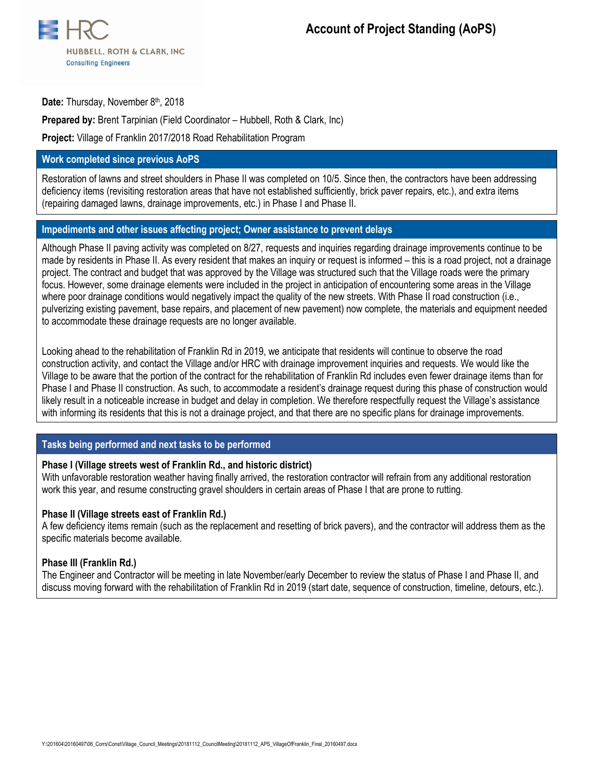

Date: Thursday, November 8<sup>th</sup>, 2018

**Prepared by:** Brent Tarpinian (Field Coordinator – Hubbell, Roth & Clark, Inc)

**Project:** Village of Franklin 2017/2018 Road Rehabilitation Program

### **Work completed since previous AoPS**

Restoration of lawns and street shoulders in Phase II was completed on 10/5. Since then, the contractors have been addressing deficiency items (revisiting restoration areas that have not established sufficiently, brick paver repairs, etc.), and extra items (repairing damaged lawns, drainage improvements, etc.) in Phase I and Phase II.

#### **Impediments and other issues affecting project; Owner assistance to prevent delays**

Although Phase II paving activity was completed on 8/27, requests and inquiries regarding drainage improvements continue to be made by residents in Phase II. As every resident that makes an inquiry or request is informed – this is a road project, not a drainage project. The contract and budget that was approved by the Village was structured such that the Village roads were the primary focus. However, some drainage elements were included in the project in anticipation of encountering some areas in the Village where poor drainage conditions would negatively impact the quality of the new streets. With Phase II road construction (i.e., pulverizing existing pavement, base repairs, and placement of new pavement) now complete, the materials and equipment needed to accommodate these drainage requests are no longer available.

Looking ahead to the rehabilitation of Franklin Rd in 2019, we anticipate that residents will continue to observe the road construction activity, and contact the Village and/or HRC with drainage improvement inquiries and requests. We would like the Village to be aware that the portion of the contract for the rehabilitation of Franklin Rd includes even fewer drainage items than for Phase I and Phase II construction. As such, to accommodate a resident's drainage request during this phase of construction would likely result in a noticeable increase in budget and delay in completion. We therefore respectfully request the Village's assistance with informing its residents that this is not a drainage project, and that there are no specific plans for drainage improvements.

## **Tasks being performed and next tasks to be performed**

#### **Phase I (Village streets west of Franklin Rd., and historic district)**

With unfavorable restoration weather having finally arrived, the restoration contractor will refrain from any additional restoration work this year, and resume constructing gravel shoulders in certain areas of Phase I that are prone to rutting.

#### **Phase II (Village streets east of Franklin Rd.)**

A few deficiency items remain (such as the replacement and resetting of brick pavers), and the contractor will address them as the specific materials become available.

#### **Phase III (Franklin Rd.)**

The Engineer and Contractor will be meeting in late November/early December to review the status of Phase I and Phase II, and discuss moving forward with the rehabilitation of Franklin Rd in 2019 (start date, sequence of construction, timeline, detours, etc.).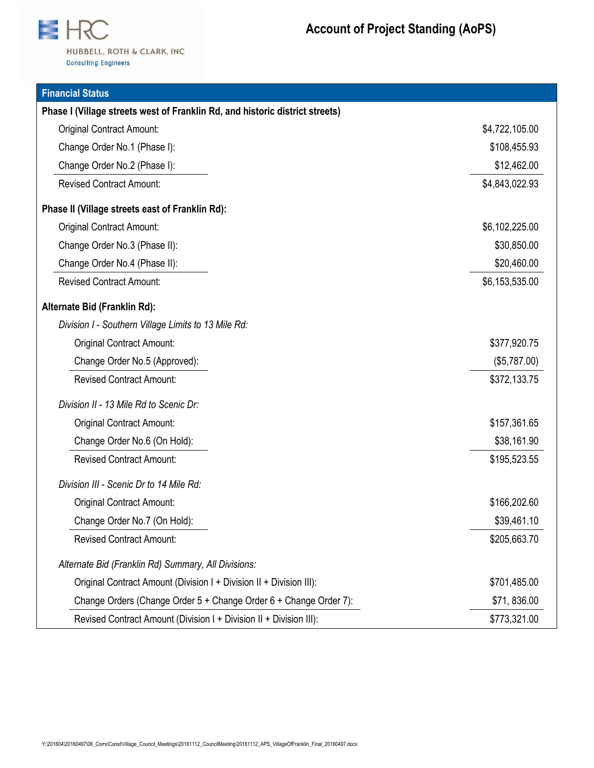

| <b>Financial Status</b>                                                      |                |
|------------------------------------------------------------------------------|----------------|
| Phase I (Village streets west of Franklin Rd, and historic district streets) |                |
| <b>Original Contract Amount:</b>                                             | \$4,722,105.00 |
| Change Order No.1 (Phase I):                                                 | \$108,455.93   |
| Change Order No.2 (Phase I):                                                 | \$12,462.00    |
| <b>Revised Contract Amount:</b>                                              | \$4,843,022.93 |
| Phase II (Village streets east of Franklin Rd):                              |                |
| <b>Original Contract Amount:</b>                                             | \$6,102,225.00 |
| Change Order No.3 (Phase II):                                                | \$30,850.00    |
| Change Order No.4 (Phase II):                                                | \$20,460.00    |
| <b>Revised Contract Amount:</b>                                              | \$6,153,535.00 |
| Alternate Bid (Franklin Rd):                                                 |                |
| Division I - Southern Village Limits to 13 Mile Rd:                          |                |
| <b>Original Contract Amount:</b>                                             | \$377,920.75   |
| Change Order No.5 (Approved):                                                | (\$5,787.00)   |
| <b>Revised Contract Amount:</b>                                              | \$372,133.75   |
| Division II - 13 Mile Rd to Scenic Dr:                                       |                |
| <b>Original Contract Amount:</b>                                             | \$157,361.65   |
| Change Order No.6 (On Hold):                                                 | \$38,161.90    |
| <b>Revised Contract Amount:</b>                                              | \$195,523.55   |
| Division III - Scenic Dr to 14 Mile Rd:                                      |                |
| <b>Original Contract Amount:</b>                                             | \$166,202.60   |
| Change Order No.7 (On Hold):                                                 | \$39,461.10    |
| <b>Revised Contract Amount:</b>                                              | \$205,663.70   |
| Alternate Bid (Franklin Rd) Summary, All Divisions:                          |                |
| Original Contract Amount (Division I + Division II + Division III):          | \$701,485.00   |
| Change Orders (Change Order 5 + Change Order 6 + Change Order 7):            | \$71,836.00    |
| Revised Contract Amount (Division I + Division II + Division III):           | \$773,321.00   |